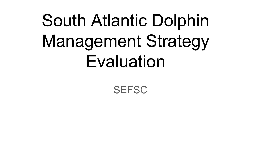# South Atlantic Dolphin Management Strategy **Evaluation**

**SEFSC**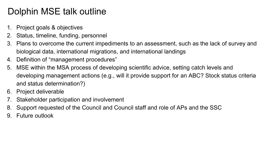## Dolphin MSE talk outline

- 1. Project goals & objectives
- 2. Status, timeline, funding, personnel
- 3. Plans to overcome the current impediments to an assessment, such as the lack of survey and biological data, international migrations, and international landings
- 4. Definition of "management procedures"
- 5. MSE within the MSA process of developing scientific advice, setting catch levels and developing management actions (e.g., will it provide support for an ABC? Stock status criteria and status determination?)
- 6. Project deliverable
- 7. Stakeholder participation and involvement
- 8. Support requested of the Council and Council staff and role of APs and the SSC
- 9. Future outlook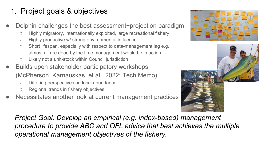#### 1. Project goals & objectives

- Dolphin challenges the best assessment+projection paradigm
	- Highly migratory, internationally exploited, large recreational fishery,
	- Highly productive w/ strong environmental influence
	- Short lifespan, especially with respect to data-management lag e.g. almost all are dead by the time management would be in action
	- Likely not a unit-stock within Council jurisdiction
- Builds upon stakeholder participatory workshops (McPherson, Karnauskas, et al., 2022; Tech Memo)
	- Differing perspectives on local abundance
	- Regional trends in fishery objectives
- Necessitates another look at current management practices





*Project Goal: Develop an empirical (e.g. index-based) management procedure to provide ABC and OFL advice that best achieves the multiple operational management objectives of the fishery.*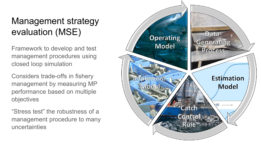# Management strategy evaluation (MSE)

Framework to develop and test management procedures using closed loop simulation

Considers trade-offs in fishery management by measuring MP performance based on multiple objectives

"Stress test" the robustness of a management procedure to many uncertainties

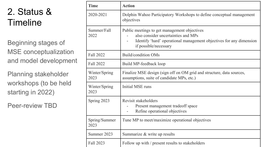# 2. Status & **Timeline**

Beginning stages of MSE conceptualization and model development

Planning stakeholder workshops (to be held starting in 2022)

Peer-review TBD

| <b>Time</b>           | <b>Action</b>                                                                                                                                                                       |
|-----------------------|-------------------------------------------------------------------------------------------------------------------------------------------------------------------------------------|
| 2020-2021             | Dolphin Wahoo Participatory Workshops to define conceptual management<br>objectives                                                                                                 |
| Summer/Fall<br>2022   | Public meetings to get management objectives<br>also consider uncertainties and MPs<br>Identify 'hard' operational management objectives for any dimension<br>if possible/necessary |
| Fall 2022             | Build/condition OMs                                                                                                                                                                 |
| Fall 2022             | Build MP-feedback loop                                                                                                                                                              |
| Winter/Spring<br>2023 | Finalize MSE design (sign off on OM grid and structure, data sources,<br>assumptions, suite of candidate MPs, etc.)                                                                 |
| Winter/Spring<br>2023 | Initial MSE runs                                                                                                                                                                    |
| Spring 2023           | Revisit stakeholders<br>Present management tradeoff space<br>Refine operational objectives                                                                                          |
| Spring/Summer<br>2023 | Tune MP to meet/maximize operational objectives                                                                                                                                     |
| Summer 2023           | Summarize & write up results                                                                                                                                                        |
| Fall 2023             | Follow up with / present results to stakeholders                                                                                                                                    |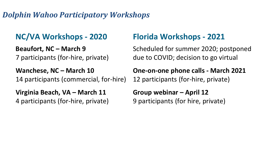#### *Dolphin Wahoo Participatory Workshops*

#### **NC/VA Workshops - 2020**

**Beaufort, NC – March 9** 7 participants (for-hire, private)

**Wanchese, NC – March 10** 14 participants (commercial, for-hire)

**Virginia Beach, VA – March 11** 4 participants (for-hire, private)

#### **Florida Workshops - 2021**

Scheduled for summer 2020; postponed due to COVID; decision to go virtual

**One-on-one phone calls - March 2021**  12 participants (for-hire, private)

**Group webinar – April 12** 9 participants (for hire, private)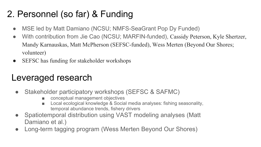# 2. Personnel (so far) & Funding

- MSE led by Matt Damiano (NCSU; NMFS-SeaGrant Pop Dy Funded)
- With contribution from Jie Cao (NCSU; MARFIN-funded), Cassidy Peterson, Kyle Shertzer, Mandy Karnauskas, Matt McPherson (SEFSC-funded), Wess Merten (Beyond Our Shores; volunteer)
- SEFSC has funding for stakeholder workshops

#### Leveraged research

- Stakeholder participatory workshops (SEFSC & SAFMC)
	- conceptual management objectives
	- Local ecological knowledge & Social media analyses: fishing seasonality, temporal abundance trends, fishery drivers
- Spatiotemporal distribution using VAST modeling analyses (Matt Damiano et al.)
- Long-term tagging program (Wess Merten Beyond Our Shores)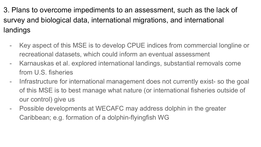3. Plans to overcome impediments to an assessment, such as the lack of survey and biological data, international migrations, and international landings

- Key aspect of this MSE is to develop CPUE indices from commercial longline or recreational datasets, which could inform an eventual assessment
- Karnauskas et al. explored international landings, substantial removals come from U.S. fisheries
- Infrastructure for international management does not currently exist- so the goal of this MSE is to best manage what nature (or international fisheries outside of our control) give us
- Possible developments at WECAFC may address dolphin in the greater Caribbean; e.g. formation of a dolphin-flyingfish WG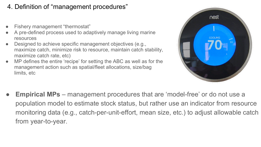#### 4. Definition of "management procedures"

- Fishery management "thermostat"
- A pre-defined process used to adaptively manage living marine resources
- Designed to achieve specific management objectives (e.g., maximize catch, minimize risk to resource, maintain catch stability, maximize catch rate, etc)
- MP defines the entire 'recipe' for setting the ABC as well as for the management action such as spatial/fleet allocations, size/bag limits, etc



**Empirical MPs** – management procedures that are 'model-free' or do not use a population model to estimate stock status, but rather use an indicator from resource monitoring data (e.g., catch-per-unit-effort, mean size, etc.) to adjust allowable catch from year-to-year.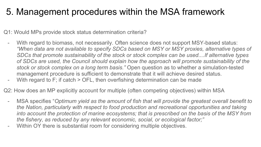#### 5. Management procedures within the MSA framework

Q1: Would MPs provide stock status determination criteria?

- With regard to biomass, not necessarily. Often science does not support MSY-based status: *"When data are not available to specify SDCs based on MSY or MSY proxies, alternative types of SDCs that promote sustainability of the stock or stock complex can be used....If alternative types of SDCs are used, the Council should explain how the approach will promote sustainability of the stock or stock complex on a long term basis."* Open question as to whether a simulation-tested management procedure is sufficient to demonstrate that it will achieve desired status.
- With regard to F; if catch  $>$  OFL, then overfishing determination can be made

Q2: How does an MP explicitly account for multiple (often competing objectives) within MSA

- MSA specifies "*Optimum yield as the amount of fish that will provide the greatest overall benefit to the Nation, particularly with respect to food production and recreational opportunities and taking into account the protection of marine ecosystems; that is prescribed on the basis of the MSY from the fishery, as reduced by any relevant economic, social, or ecological factor;"*
- Within OY there is substantial room for considering multiple objectives.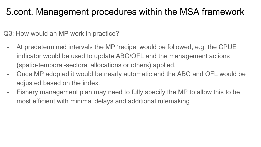#### 5.cont. Management procedures within the MSA framework

Q3: How would an MP work in practice?

- At predetermined intervals the MP 'recipe' would be followed, e.g. the CPUE indicator would be used to update ABC/OFL and the management actions (spatio-temporal-sectoral allocations or others) applied.
- Once MP adopted it would be nearly automatic and the ABC and OFL would be adjusted based on the index.
- Fishery management plan may need to fully specify the MP to allow this to be most efficient with minimal delays and additional rulemaking.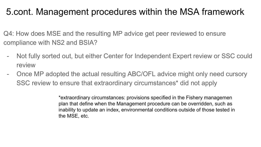#### 5.cont. Management procedures within the MSA framework

Q4: How does MSE and the resulting MP advice get peer reviewed to ensure compliance with NS2 and BSIA?

- Not fully sorted out, but either Center for Independent Expert review or SSC could review
- Once MP adopted the actual resulting ABC/OFL advice might only need cursory SSC review to ensure that extraordinary circumstances\* did not apply

\*extraordinary circumstances: provisions specified in the Fishery managemen plan that define when the Management procedure can be overridden, such as inability to update an index, environmental conditions outside of those tested in the MSE, etc.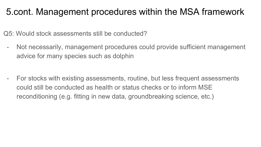#### 5.cont. Management procedures within the MSA framework

Q5: Would stock assessments still be conducted?

- Not necessarily, management procedures could provide sufficient management advice for many species such as dolphin

For stocks with existing assessments, routine, but less frequent assessments could still be conducted as health or status checks or to inform MSE reconditioning (e.g. fitting in new data, groundbreaking science, etc.)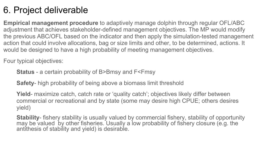## 6. Project deliverable

**Empirical management procedure** to adaptively manage dolphin through regular OFL/ABC adjustment that achieves stakeholder-defined management objectives. The MP would modify the previous ABC/OFL based on the indicator and then apply the simulation-tested management action that could involve allocations, bag or size limits and other, to be determined, actions. It would be designed to have a high probability of meeting management objectives.

Four typical objectives:

**Status** - a certain probability of B>Bmsy and F<Fmsy

**Safety**- high probability of being above a biomass limit threshold

**Yield**- maximize catch, catch rate or 'quality catch'; objectives likely differ between commercial or recreational and by state (some may desire high CPUE; others desires yield)

**Stability**- fishery stability is usually valued by commercial fishery, stability of opportunity may be valued by other fisheries. Usually a low probability of fishery closure (e.g. the antithesis of stability and yield) is desirable.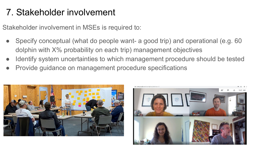# 7. Stakeholder involvement

Stakeholder involvement in MSEs is required to:

- Specify conceptual (what do people want- a good trip) and operational (e.g. 60 dolphin with X% probability on each trip) management objectives
- Identify system uncertainties to which management procedure should be tested
- Provide guidance on management procedure specifications



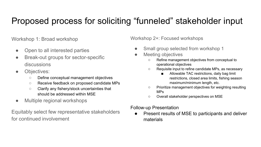#### Proposed process for soliciting "funneled" stakeholder input

Workshop 1: Broad workshop

- Open to all interested parties
- Break-out groups for sector-specific discussions
- Objectives:
	- Define conceptual management objectives
	- Receive feedback on proposed candidate MPs
	- Clarify any fishery/stock uncertainties that should be addressed within MSE
- Multiple regional workshops

Equitably select few representative stakeholders for continued involvement

Workshop 2+: Focused workshops

- Small group selected from workshop 1
- **Meeting objectives** 
	- Refine management objectives from conceptual to operational objectives
	- Requisite input to refine candidate MPs, as necessary
		- Allowable TAC restrictions, daily bag limit restrictions, closed area limits, fishing season maximum/minimum length, etc.
	- Prioritize management objectives for weighting resulting MPs
	- Overall stakeholder perspectives on MSE

Follow-up Presentation

Present results of MSE to participants and deliver materials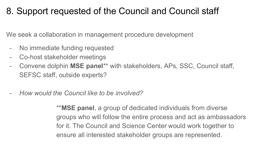## 8. Support requested of the Council and Council staff

We seek a collaboration in management procedure development

- No immediate funding requested
- Co-host stakeholder meetings
- Convene dolphin **MSE panel**\*\* with stakeholders, APs, SSC, Council staff, SEFSC staff, outside experts?
- *How would the Council like to be involved?*

\*\***MSE panel**, a group of dedicated individuals from diverse groups who will follow the entire process and act as ambassadors for it. The Council and Science Center would work together to ensure all interested stakeholder groups are represented.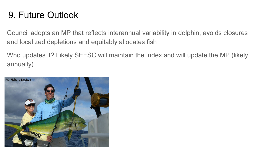## 9. Future Outlook

Council adopts an MP that reflects interannual variability in dolphin, avoids closures and localized depletions and equitably allocates fish

Who updates it? Likely SEFSC will maintain the index and will update the MP (likely annually)